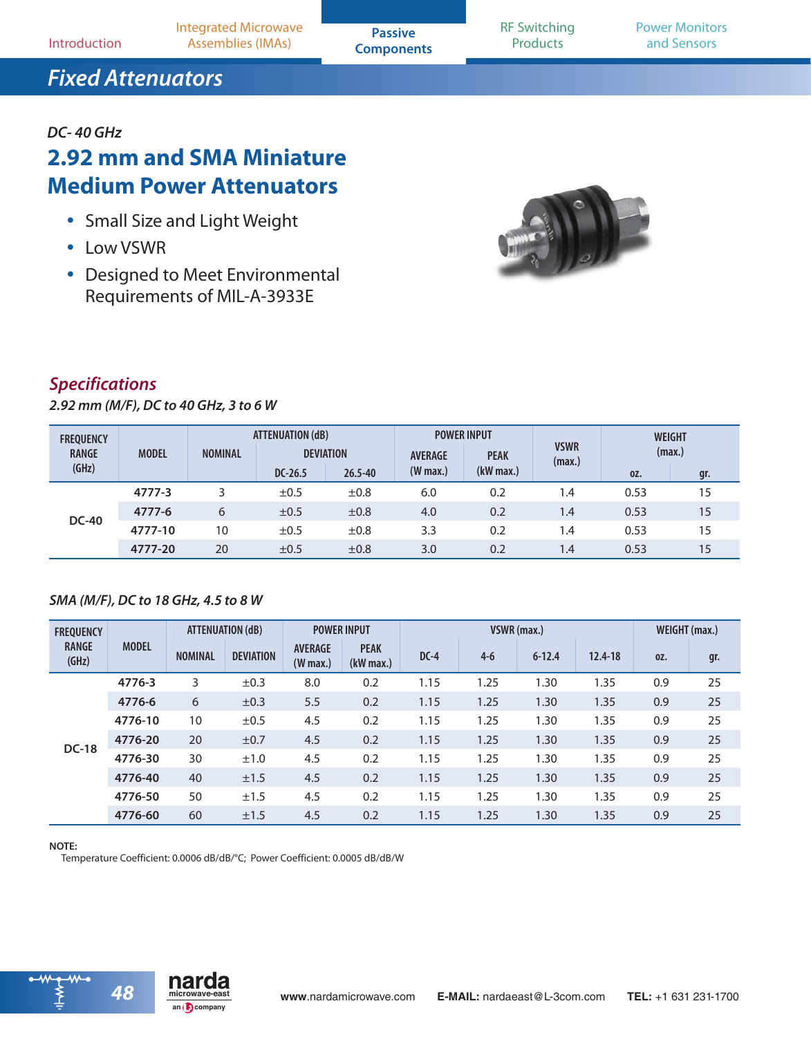## *DC- 40 GHz*

# **2.92 mm and SMA Miniature Medium Power Attenuators**

- Small Size and Light Weight
- Low VSWR
- Designed to Meet Environmental Requirements of MIL-A-3933E



### *Specifications*

*2.92 mm (M/F), DC to 40 GHz, 3 to 6 W*

| <b>FREQUENCY</b><br><b>RANGE</b> | <b>MODEL</b> | ATTENUATION (dB)<br><b>NOMINAL</b><br><b>DEVIATION</b> |           | <b>POWER INPUT</b><br><b>AVERAGE</b><br><b>PEAK</b> |            | <b>VSWR</b><br>(max.) | <b>WEIGHT</b><br>(max.)       |      |     |
|----------------------------------|--------------|--------------------------------------------------------|-----------|-----------------------------------------------------|------------|-----------------------|-------------------------------|------|-----|
| (GHz)                            |              |                                                        | $DC-26.5$ | $26.5 - 40$                                         | $(W$ max.) | $(kW$ max.)           |                               | 0Z.  | gr. |
|                                  | 4777-3       |                                                        | $\pm 0.5$ | ±0.8                                                | 6.0        | 0.2                   | 1.4                           | 0.53 | 15  |
|                                  | 4777-6       | 6                                                      | $\pm 0.5$ | ±0.8                                                | 4.0        | 0.2                   | 1.4                           | 0.53 | 15  |
| <b>DC-40</b>                     | 4777-10      | 10                                                     | $\pm 0.5$ | ±0.8                                                | 3.3        | 0.2                   | $\mathsf{I} \cdot \mathsf{A}$ | 0.53 | 15  |
|                                  | 4777-20      | 20                                                     | $\pm 0.5$ | ±0.8                                                | 3.0        | 0.2                   | 1.4                           | 0.53 | 15  |

### *SMA (M/F), DC to 18 GHz, 4.5 to 8 W*

| <b>FREQUENCY</b>      | <b>MODEL</b> | ATTENUATION (dB) |                  | <b>POWER INPUT</b>                   |                            | VSWR (max.) |         |            |         | WEIGHT (max.) |     |
|-----------------------|--------------|------------------|------------------|--------------------------------------|----------------------------|-------------|---------|------------|---------|---------------|-----|
| <b>RANGE</b><br>(GHz) |              | <b>NOMINAL</b>   | <b>DEVIATION</b> | <b>AVERAGE</b><br>$(W \text{ max.})$ | <b>PEAK</b><br>$(kW$ max.) | $DC-4$      | $4 - 6$ | $6 - 12.4$ | 12.4-18 | 0Z.           | gr. |
|                       | 4776-3       | 3                | ±0.3             | 8.0                                  | 0.2                        | 1.15        | 1.25    | 1.30       | 1.35    | 0.9           | 25  |
| <b>DC-18</b>          | 4776-6       | 6                | ±0.3             | 5.5                                  | 0.2                        | 1.15        | 1.25    | 1.30       | 1.35    | 0.9           | 25  |
|                       | 4776-10      | 10               | ±0.5             | 4.5                                  | 0.2                        | 1.15        | 1.25    | 1.30       | 1.35    | 0.9           | 25  |
|                       | 4776-20      | 20               | $\pm 0.7$        | 4.5                                  | 0.2                        | 1.15        | 1.25    | 1.30       | 1.35    | 0.9           | 25  |
|                       | 4776-30      | 30               | ±1.0             | 4.5                                  | 0.2                        | 1.15        | 1.25    | 1.30       | 1.35    | 0.9           | 25  |
|                       | 4776-40      | 40               | ±1.5             | 4.5                                  | 0.2                        | 1.15        | 1.25    | 1.30       | 1.35    | 0.9           | 25  |
|                       | 4776-50      | 50               | ±1.5             | 4.5                                  | 0.2                        | 1.15        | 1.25    | 1.30       | 1.35    | 0.9           | 25  |
|                       | 4776-60      | 60               | ±1.5             | 4.5                                  | 0.2                        | 1.15        | 1.25    | 1.30       | 1.35    | 0.9           | 25  |

#### **NOTE:**

Temperature Coefficient: 0.0006 dB/dB/°C; Power Coefficient: 0.0005 dB/dB/W